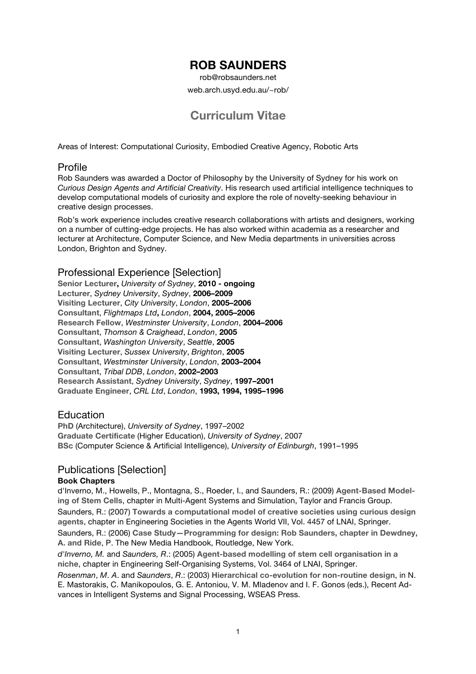# **ROB SAUNDERS**

rob@robsaunders.net

web.arch.usyd.edu.au/~rob/

# **Curriculum Vitae**

Areas of Interest: Computational Curiosity, Embodied Creative Agency, Robotic Arts

### Profile

Rob Saunders was awarded a Doctor of Philosophy by the University of Sydney for his work on *Curious Design Agents and Artificial Creativity*. His research used artificial intelligence techniques to develop computational models of curiosity and explore the role of novelty-seeking behaviour in creative design processes.

Rob's work experience includes creative research collaborations with artists and designers, working on a number of cutting-edge projects. He has also worked within academia as a researcher and lecturer at Architecture, Computer Science, and New Media departments in universities across London, Brighton and Sydney.

### Professional Experience [Selection]

**Senior Lecturer,** *University of Sydney*, **2010 - ongoing Lecturer**, *Sydney University*, *Sydney*, **2006–2009 Visiting Lecturer**, *City University*, *London*, **2005–2006 Consultant**, *Flightmaps Ltd***,** *London*, **2004, 2005–2006 Research Fellow**, *Westminster University*, *London*, **2004–2006 Consultant**, *Thomson & Craighead*, *London*, **2005 Consultant**, *Washington University*, *Seattle*, **2005 Visiting Lecturer**, *Sussex University*, *Brighton*, **2005 Consultant**, *Westminster University*, *London*, **2003–2004 Consultant**, *Tribal DDB*, *London*, **2002–2003 Research Assistant**, *Sydney University*, *Sydney*, **1997–2001 Graduate Engineer**, *CRL Ltd*, *London*, **1993, 1994, 1995–1996**

## Education

**PhD** (Architecture), *University of Sydney*, 1997–2002 **Graduate Certificate** (Higher Education), *University of Sydney*, 2007 **BSc** (Computer Science & Artificial Intelligence), *University of Edinburgh*, 1991–1995

## Publications [Selection]

#### **Book Chapters**

d'Inverno, M., Howells, P., Montagna, S., Roeder, I., and Saunders, R.: (2009) **Agent-Based Modeling of Stem Cells**, chapter in Multi-Agent Systems and Simulation, Taylor and Francis Group. Saunders, R.: (2007) **Towards a computational model of creative societies using curious design agents**, chapter in Engineering Societies in the Agents World VII, Vol. 4457 of LNAI, Springer.

Saunders, R.: (2006) **Case Study—Programming for design: Rob Saunders, chapter in Dewdney, A. and Ride**, P. The New Media Handbook, Routledge, New York.

*d'Inverno, M.* and *Saunders, R*.: (2005) **Agent-based modelling of stem cell organisation in a niche**, chapter in Engineering Self-Organising Systems, Vol. 3464 of LNAI, Springer.

*Rosenman*, *M*. *A*. and *Saunders*, *R*.: (2003) **Hierarchical co-evolution for non-routine design**, in N. E. Mastorakis, C. Manikopoulos, G. E. Antoniou, V. M. Mladenov and I. F. Gonos (eds.), Recent Advances in Intelligent Systems and Signal Processing, WSEAS Press.